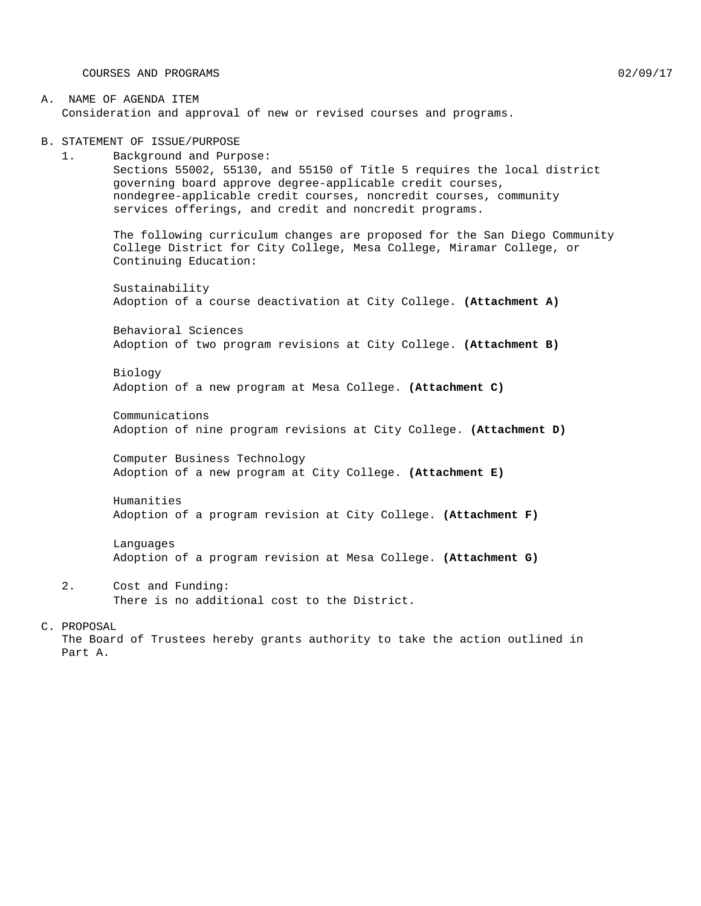COURSES AND PROGRAMS 02/09/17

#### A. NAME OF AGENDA ITEM Consideration and approval of new or revised courses and programs.

B. STATEMENT OF ISSUE/PURPOSE

1. Background and Purpose: Sections 55002, 55130, and 55150 of Title 5 requires the local district governing board approve degree-applicable credit courses, nondegree-applicable credit courses, noncredit courses, community services offerings, and credit and noncredit programs.

The following curriculum changes are proposed for the San Diego Community College District for City College, Mesa College, Miramar College, or Continuing Education:

Sustainability Adoption of a course deactivation at City College. **(Attachment A)**

Behavioral Sciences Adoption of two program revisions at City College. **(Attachment B)**

Biology Adoption of a new program at Mesa College. **(Attachment C)**

Communications Adoption of nine program revisions at City College. **(Attachment D)**

Computer Business Technology Adoption of a new program at City College. **(Attachment E)**

Humanities Adoption of a program revision at City College. **(Attachment F)**

Languages Adoption of a program revision at Mesa College. **(Attachment G)**

2. Cost and Funding: There is no additional cost to the District.

C. PROPOSAL

The Board of Trustees hereby grants authority to take the action outlined in Part A.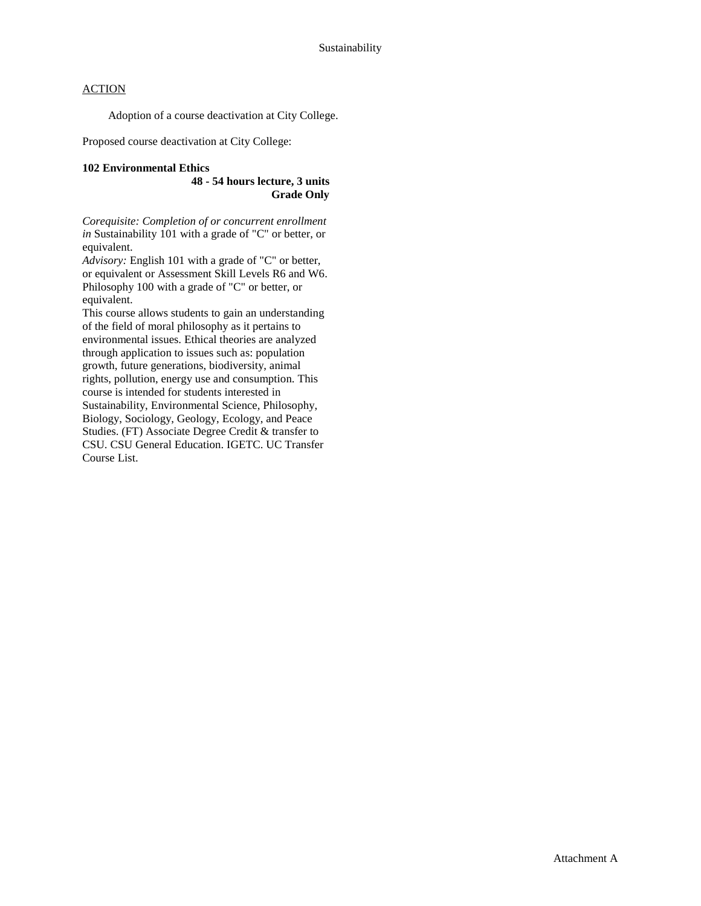Adoption of a course deactivation at City College.

Proposed course deactivation at City College:

#### **102 Environmental Ethics**

#### **48 - 54 hours lecture, 3 units Grade Only**

*Corequisite: Completion of or concurrent enrollment in* Sustainability 101 with a grade of "C" or better, or equivalent.

*Advisory:* English 101 with a grade of "C" or better, or equivalent or Assessment Skill Levels R6 and W6. Philosophy 100 with a grade of "C" or better, or equivalent.

This course allows students to gain an understanding of the field of moral philosophy as it pertains to environmental issues. Ethical theories are analyzed through application to issues such as: population growth, future generations, biodiversity, animal rights, pollution, energy use and consumption. This course is intended for students interested in Sustainability, Environmental Science, Philosophy, Biology, Sociology, Geology, Ecology, and Peace Studies. (FT) Associate Degree Credit & transfer to CSU. CSU General Education. IGETC. UC Transfer Course List.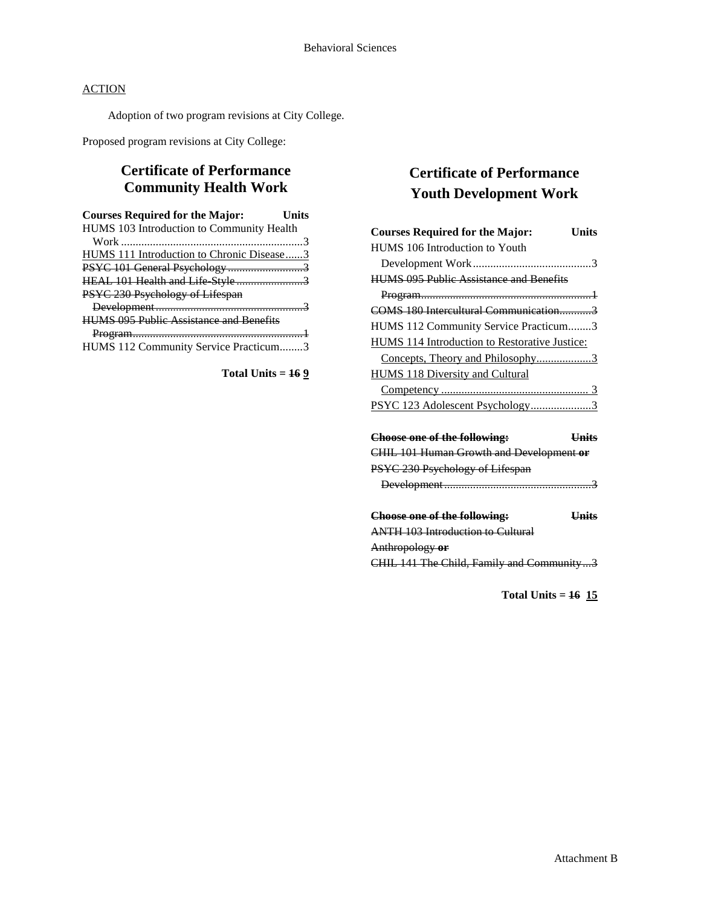Adoption of two program revisions at City College.

Proposed program revisions at City College:

### **Certificate of Performance Community Health Work**

| <b>Courses Required for the Major:</b>         | Units |
|------------------------------------------------|-------|
| HUMS 103 Introduction to Community Health      |       |
|                                                |       |
| HUMS 111 Introduction to Chronic Disease3      |       |
| PSYC 101 General Psychology 3                  |       |
| HEAL 101 Health and Life Style3                |       |
| PSYC 230 Psychology of Lifespan                |       |
|                                                |       |
| <b>HUMS 095 Public Assistance and Benefits</b> |       |
|                                                |       |
| HUMS 112 Community Service Practicum3          |       |

**Total Units = 16 9**

## **Certificate of Performance Youth Development Work**

| <b>Courses Required for the Major:</b>         | <b>Units</b> |
|------------------------------------------------|--------------|
| HUMS 106 Introduction to Youth                 |              |
|                                                |              |
| <b>HUMS 095 Public Assistance and Benefits</b> |              |
|                                                |              |
| COMS 180 Intercultural Communication3          |              |
| HUMS 112 Community Service Practicum3          |              |
| HUMS 114 Introduction to Restorative Justice:  |              |
| Concepts, Theory and Philosophy3               |              |
| <b>HUMS 118 Diversity and Cultural</b>         |              |
|                                                |              |
| PSYC 123 Adolescent Psychology3                |              |
|                                                |              |
| Choose one of the following:                   | <b>Units</b> |
| CHIL 101 Human Growth and Development or       |              |
| PSYC 230 Psychology of Lifespan                |              |
|                                                |              |
| Choose one of the following:                   | <b>Units</b> |
| <b>ANTH 103 Introduction to Cultural</b>       |              |
| Anthropology or                                |              |
| CHIL 141 The Child, Family and Community3      |              |

**Total Units = 16 15**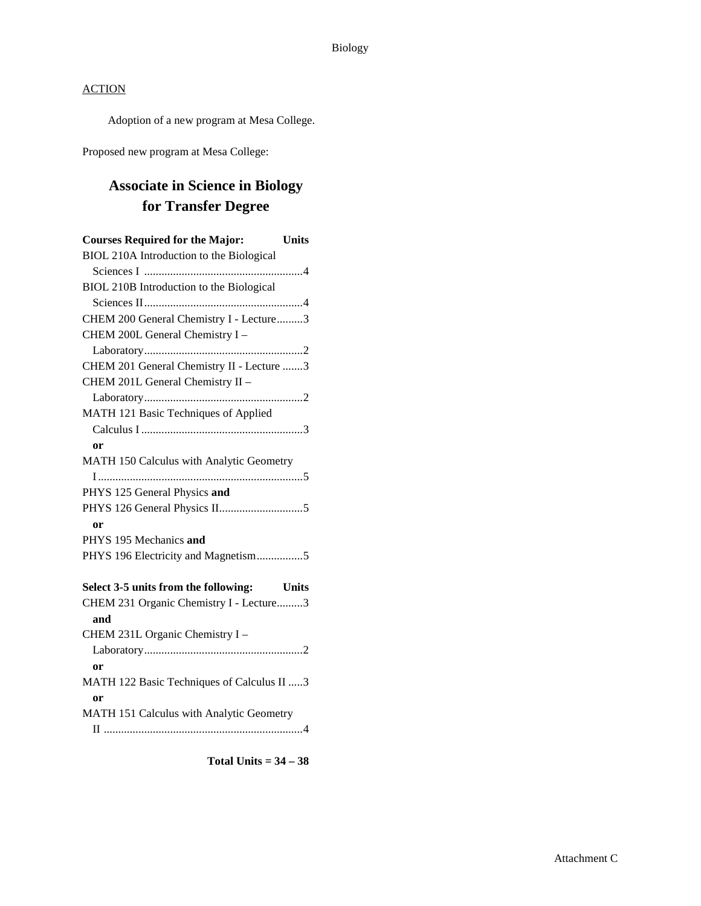Adoption of a new program at Mesa College.

Proposed new program at Mesa College:

## **Associate in Science in Biology for Transfer Degree**

| <b>Courses Required for the Major:</b>     | <b>Units</b> |
|--------------------------------------------|--------------|
| BIOL 210A Introduction to the Biological   |              |
|                                            |              |
| BIOL 210B Introduction to the Biological   |              |
|                                            |              |
| CHEM 200 General Chemistry I - Lecture3    |              |
| CHEM 200L General Chemistry I -            |              |
|                                            |              |
| CHEM 201 General Chemistry II - Lecture 3  |              |
| CHEM 201L General Chemistry II -           |              |
|                                            |              |
| MATH 121 Basic Techniques of Applied       |              |
|                                            |              |
| or                                         |              |
| MATH 150 Calculus with Analytic Geometry   |              |
|                                            |              |
| PHYS 125 General Physics and               |              |
|                                            |              |
| or                                         |              |
| PHYS 195 Mechanics and                     |              |
| PHYS 196 Electricity and Magnetism5        |              |
|                                            |              |
| Select 3-5 units from the following: Units |              |
| CHEM 231 Organic Chemistry I - Lecture3    |              |
| and                                        |              |
| CHEM 231L Organic Chemistry I -            |              |
|                                            |              |
| <b>or</b>                                  |              |
| MATH 122 Basic Techniques of Calculus II 3 |              |
| or                                         |              |
| MATH 151 Calculus with Analytic Geometry   |              |
|                                            |              |

**Total Units = 34 – 38**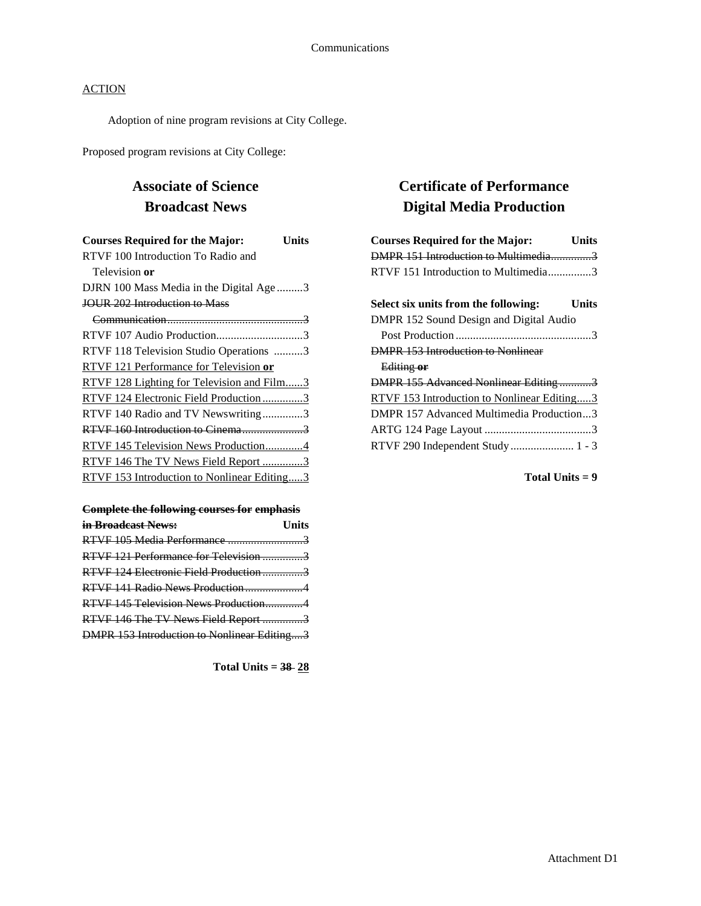Adoption of nine program revisions at City College.

Proposed program revisions at City College:

### **Associate of Science Broadcast News**

| <b>Courses Required for the Major:</b>      | Units |
|---------------------------------------------|-------|
| RTVF 100 Introduction To Radio and          |       |
| Television or                               |       |
| DJRN 100 Mass Media in the Digital Age 3    |       |
| JOUR 202 Introduction to Mass               |       |
|                                             |       |
| RTVF 107 Audio Production3                  |       |
| RTVF 118 Television Studio Operations 3     |       |
| RTVF 121 Performance for Television or      |       |
| RTVF 128 Lighting for Television and Film3  |       |
| RTVF 124 Electronic Field Production3       |       |
| RTVF 140 Radio and TV Newswriting3          |       |
| RTVF 160 Introduction to Cinema3            |       |
| RTVF 145 Television News Production4        |       |
| RTVF 146 The TV News Field Report 3         |       |
| RTVF 153 Introduction to Nonlinear Editing3 |       |
|                                             |       |

#### **Complete the following courses for emphasis**

| <b>in Broadcast News:</b>                   | <b>Units</b> |
|---------------------------------------------|--------------|
| RTVF 105 Media Performance 3                |              |
| RTVF 121 Performance for Television 3       |              |
| RTVF 124 Electronic Field Production3       |              |
| RTVF 141 Radio News Production4             |              |
| RTVF 145 Television News Production4        |              |
| RTVF 146 The TV News Field Report 3         |              |
| DMPR 153 Introduction to Nonlinear Editing3 |              |

**Total Units = 38 28**

### **Certificate of Performance Digital Media Production**

| <b>Courses Required for the Major:</b><br>Units<br>DMPR 151 Introduction to Multimedia3 |
|-----------------------------------------------------------------------------------------|
|                                                                                         |
| RTVF 151 Introduction to Multimedia3                                                    |
|                                                                                         |
| Select six units from the following:<br>Units                                           |
| DMPR 152 Sound Design and Digital Audio                                                 |
|                                                                                         |
| <b>DMPR 153 Introduction to Nonlinear</b>                                               |
| Editing or                                                                              |
| <b>DMPR 155 Advanced Nonlinear Editing3</b>                                             |
| RTVF 153 Introduction to Nonlinear Editing3                                             |
| DMPR 157 Advanced Multimedia Production3                                                |
|                                                                                         |
|                                                                                         |
|                                                                                         |

**Total Units = 9**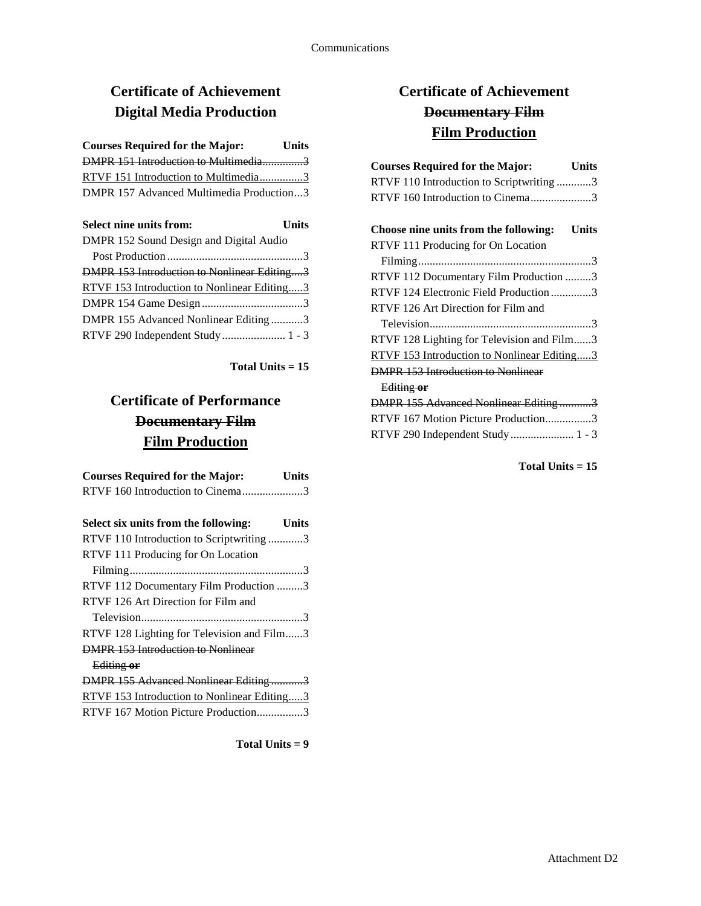# **Certificate of Achievement Digital Media Production**

| <b>Courses Required for the Major:</b>   | <b>Units</b> |
|------------------------------------------|--------------|
| DMPR 151 Introduction to Multimedia3     |              |
| RTVF 151 Introduction to Multimedia3     |              |
| DMPR 157 Advanced Multimedia Production3 |              |

| <b>Select nine units from:</b><br><b>Units</b> |  |
|------------------------------------------------|--|
| DMPR 152 Sound Design and Digital Audio        |  |
|                                                |  |
| DMPR 153 Introduction to Nonlinear Editing3    |  |
| RTVF 153 Introduction to Nonlinear Editing3    |  |
|                                                |  |
| DMPR 155 Advanced Nonlinear Editing3           |  |
| RTVF 290 Independent Study 1 - 3               |  |

**Total Units = 15**

# **Certificate of Performance Documentary Film Film Production**

| <b>Courses Required for the Major:</b>      | Units        |
|---------------------------------------------|--------------|
| RTVF 160 Introduction to Cinema3            |              |
|                                             |              |
| Select six units from the following:        | <b>Units</b> |
| RTVF 110 Introduction to Scriptwriting 3    |              |
| RTVF 111 Producing for On Location          |              |
|                                             |              |
| RTVF 112 Documentary Film Production 3      |              |
| RTVF 126 Art Direction for Film and         |              |
|                                             |              |
| RTVF 128 Lighting for Television and Film3  |              |
| <b>DMPR 153 Introduction to Nonlinear</b>   |              |
| Editing or                                  |              |
| DMPR 155 Advanced Nonlinear Editing3        |              |
| RTVF 153 Introduction to Nonlinear Editing3 |              |
| RTVF 167 Motion Picture Production3         |              |

Total Units  $= 9$ 

## **Certificate of Achievement Documentary Film Film Production**

| <b>Courses Required for the Major:</b><br>Units<br>RTVF 110 Introduction to Scriptwriting 3<br>RTVF 160 Introduction to Cinema3 |
|---------------------------------------------------------------------------------------------------------------------------------|
| Choose nine units from the following: Units                                                                                     |
| RTVF 111 Producing for On Location                                                                                              |
|                                                                                                                                 |
| RTVF 112 Documentary Film Production 3                                                                                          |
| RTVF 124 Electronic Field Production3                                                                                           |
| RTVF 126 Art Direction for Film and                                                                                             |
|                                                                                                                                 |
| RTVF 128 Lighting for Television and Film3                                                                                      |
| RTVF 153 Introduction to Nonlinear Editing3                                                                                     |
| <b>DMPR 153 Introduction to Nonlinear</b>                                                                                       |
| Editing or                                                                                                                      |
| DMPR 155 Advanced Nonlinear Editing3                                                                                            |
| RTVF 167 Motion Picture Production3                                                                                             |
|                                                                                                                                 |

 $Total Units = 15$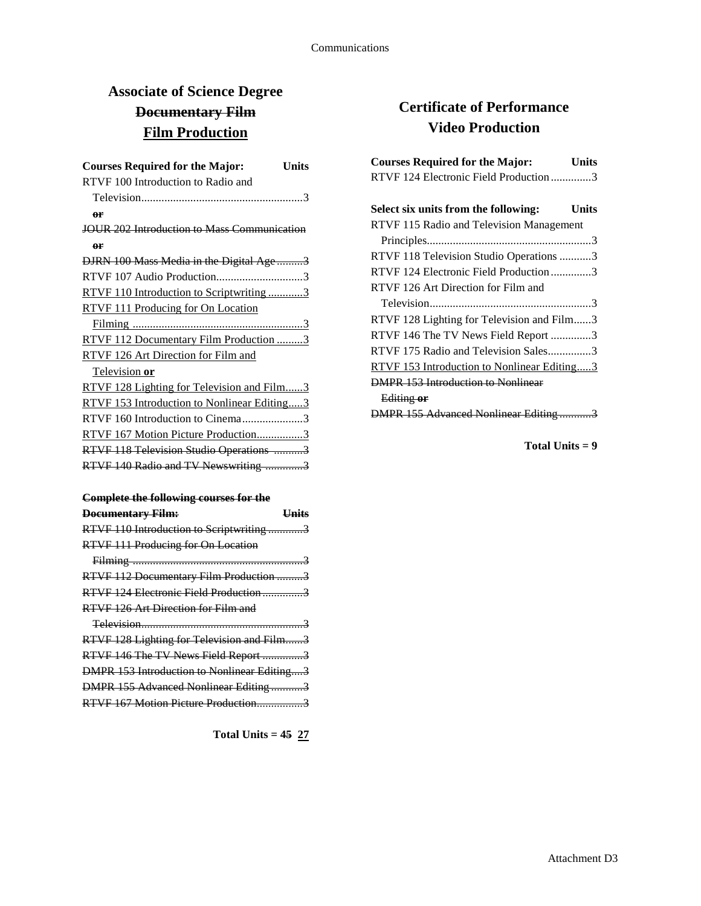## **Associate of Science Degree Documentary Film Film Production**

| <b>Courses Required for the Major:</b><br>Units |  |
|-------------------------------------------------|--|
| RTVF 100 Introduction to Radio and              |  |
|                                                 |  |
| or                                              |  |
| JOUR 202 Introduction to Mass Communication     |  |
| or                                              |  |
| DJRN 100 Mass Media in the Digital Age3         |  |
| RTVF 107 Audio Production3                      |  |
| RTVF 110 Introduction to Scriptwriting3         |  |
| <b>RTVF 111 Producing for On Location</b>       |  |
|                                                 |  |
| RTVF 112 Documentary Film Production 3          |  |
| <b>RTVF 126 Art Direction for Film and</b>      |  |
| Television or                                   |  |
| RTVF 128 Lighting for Television and Film3      |  |
| RTVF 153 Introduction to Nonlinear Editing3     |  |
| RTVF 160 Introduction to Cinema3                |  |
| RTVF 167 Motion Picture Production3             |  |
| RTVF 118 Television Studio Operations 3         |  |
| RTVF 140 Radio and TV Newswriting 3             |  |
|                                                 |  |

### **Complete the following courses for the**

| <b>Documentary Film:</b>                     | <del>Units</del> |
|----------------------------------------------|------------------|
| RTVF 110 Introduction to Scriptwriting3      |                  |
| RTVF 111 Producing for On Location           |                  |
|                                              |                  |
| RTVF 112 Documentary Film Production 3       |                  |
| RTVF 124 Electronic Field Production3        |                  |
| RTVF 126 Art Direction for Film and          |                  |
|                                              |                  |
| RTVF 128 Lighting for Television and Film3   |                  |
| RTVF 146 The TV News Field Report 3          |                  |
| DMPR 153 Introduction to Nonlinear Editing3  |                  |
| <b>DMPR 155 Advanced Nonlinear Editing 3</b> |                  |
| RTVF 167 Motion Picture Production3          |                  |

**Total Units = 45 27**

### **Certificate of Performance Video Production**

| <b>Courses Required for the Major:</b><br>Units      |
|------------------------------------------------------|
| RTVF 124 Electronic Field Production3                |
|                                                      |
| Select six units from the following:<br><b>Units</b> |
| RTVF 115 Radio and Television Management             |
|                                                      |
| RTVF 118 Television Studio Operations 3              |
| RTVF 124 Electronic Field Production3                |
| RTVF 126 Art Direction for Film and                  |
|                                                      |
| RTVF 128 Lighting for Television and Film3           |
| RTVF 146 The TV News Field Report 3                  |
| RTVF 175 Radio and Television Sales3                 |
| RTVF 153 Introduction to Nonlinear Editing3          |
| <b>DMPR 153 Introduction to Nonlinear</b>            |
| Editing or                                           |
| DMPR 155 Advanced Nonlinear Editing3                 |

**Total Units = 9**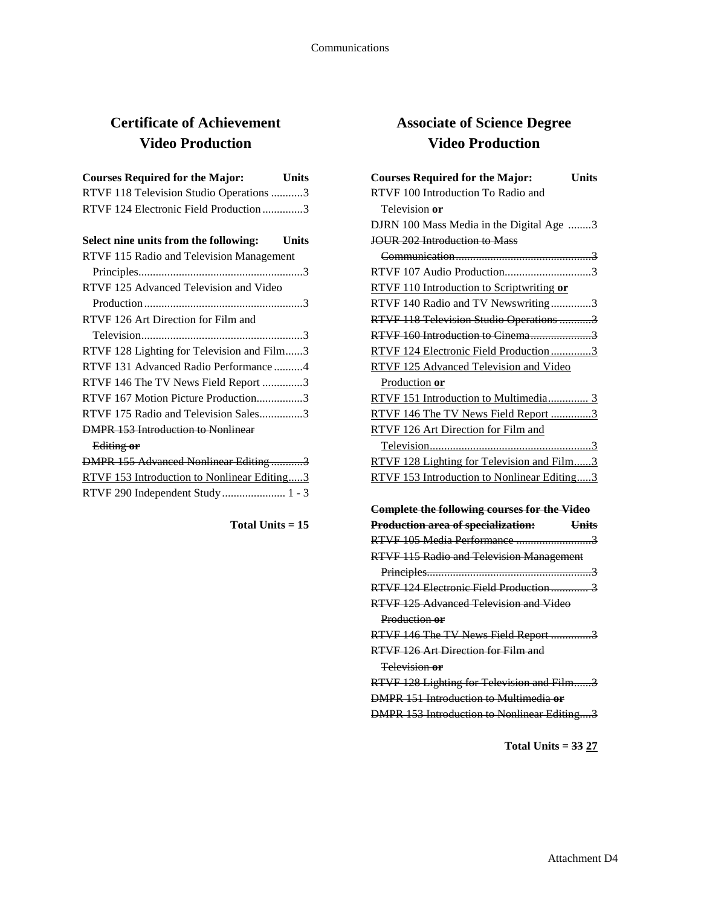## **Certificate of Achievement Video Production**

| <b>Courses Required for the Major:</b><br><b>Units</b> |
|--------------------------------------------------------|
| RTVF 118 Television Studio Operations 3                |
| RTVF 124 Electronic Field Production3                  |
|                                                        |
| Select nine units from the following: Units            |
| RTVF 115 Radio and Television Management               |
|                                                        |
| RTVF 125 Advanced Television and Video                 |
|                                                        |
| RTVF 126 Art Direction for Film and                    |
|                                                        |
| RTVF 128 Lighting for Television and Film3             |
| RTVF 131 Advanced Radio Performance 4                  |
| RTVF 146 The TV News Field Report 3                    |
| RTVF 167 Motion Picture Production3                    |
| RTVF 175 Radio and Television Sales3                   |
| <b>DMPR 153 Introduction to Nonlinear</b>              |
| Editing or                                             |
| DMPR 155 Advanced Nonlinear Editing3                   |

RTVF 153 Introduction to Nonlinear Editing.....3 RTVF 290 Independent Study...................... 1 - 3

**Total Units = 15**

## **Associate of Science Degree Video Production**

| <b>Courses Required for the Major:</b><br>Units     |
|-----------------------------------------------------|
| RTVF 100 Introduction To Radio and                  |
| Television or                                       |
| DJRN 100 Mass Media in the Digital Age 3            |
| <b>JOUR 202 Introduction to Mass</b>                |
|                                                     |
| RTVF 107 Audio Production3                          |
| RTVF 110 Introduction to Scriptwriting or           |
| RTVF 140 Radio and TV Newswriting3                  |
| RTVF 118 Television Studio Operations 3             |
| RTVF 160 Introduction to Cinema                     |
| RTVF 124 Electronic Field Production3               |
| RTVF 125 Advanced Television and Video              |
| Production or                                       |
| RTVF 151 Introduction to Multimedia 3               |
| RTVF 146 The TV News Field Report 3                 |
| RTVF 126 Art Direction for Film and                 |
|                                                     |
| RTVF 128 Lighting for Television and Film3          |
| RTVF 153 Introduction to Nonlinear Editing3         |
|                                                     |
| <b>Complete the following courses for the Video</b> |
| Production area of specialization:<br><b>Units</b>  |
| RTVF 105 Media Performance 3                        |
| <b>RTVF 115 Radio and Television Management</b>     |
|                                                     |
| RTVF 124 Electronic Field Production  3             |
| RTVF 125 Advanced Television and Video              |
| Production or                                       |
| RTVF 146 The TV News Field Report 3                 |
| RTVF 126 Art Direction for Film and                 |
| Television or                                       |
| RTVF 128 Lighting for Television and Film3          |
| DMPR 151 Introduction to Multimedia or              |
| DMPR 153 Introduction to Nonlinear Editing3         |
|                                                     |

**Total Units = 33 27**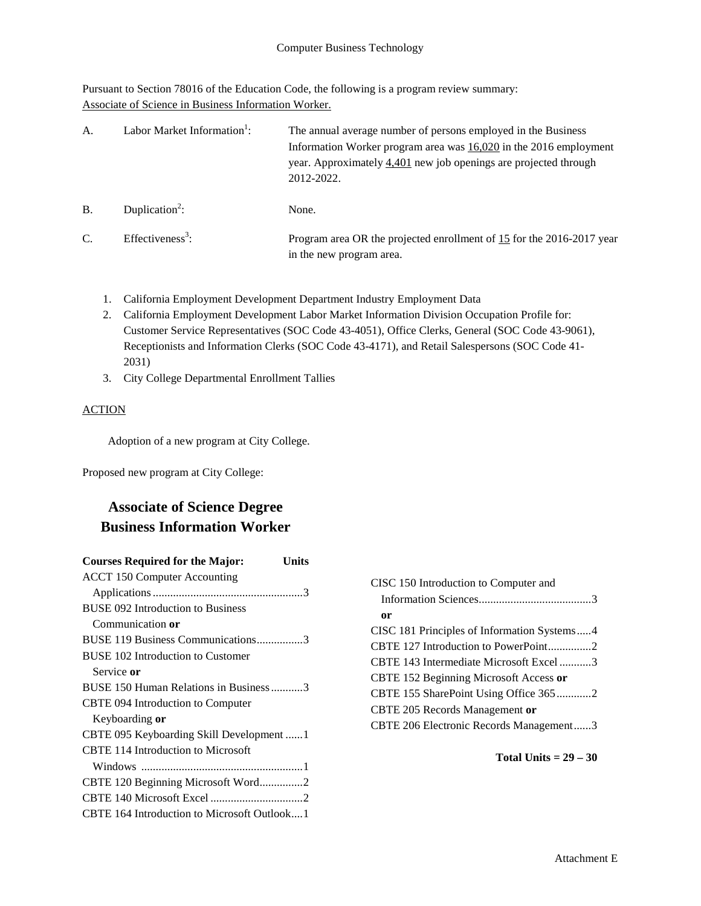Pursuant to Section 78016 of the Education Code, the following is a program review summary: Associate of Science in Business Information Worker.

| А.         | Labor Market Information <sup>1</sup> : | The annual average number of persons employed in the Business<br>Information Worker program area was $16,020$ in the 2016 employment<br>year. Approximately 4,401 new job openings are projected through<br>2012-2022. |
|------------|-----------------------------------------|------------------------------------------------------------------------------------------------------------------------------------------------------------------------------------------------------------------------|
| <b>B</b> . | Duplication <sup>2</sup> :              | None.                                                                                                                                                                                                                  |
| C.         | Effectiveness <sup>3</sup> :            | Program area OR the projected enrollment of 15 for the 2016-2017 year<br>in the new program area.                                                                                                                      |

- 1. California Employment Development Department Industry Employment Data
- 2. California Employment Development Labor Market Information Division Occupation Profile for: Customer Service Representatives (SOC Code 43-4051), Office Clerks, General (SOC Code 43-9061), Receptionists and Information Clerks (SOC Code 43-4171), and Retail Salespersons (SOC Code 41- 2031)
- 3. City College Departmental Enrollment Tallies

#### **ACTION**

Adoption of a new program at City College.

Proposed new program at City College:

### **Associate of Science Degree Business Information Worker**

| <b>Courses Required for the Major:</b><br><b>Units</b>                                                                                                                                                                                                                                                                                          |                                                                                                                                                                                                                                                                                                                 |
|-------------------------------------------------------------------------------------------------------------------------------------------------------------------------------------------------------------------------------------------------------------------------------------------------------------------------------------------------|-----------------------------------------------------------------------------------------------------------------------------------------------------------------------------------------------------------------------------------------------------------------------------------------------------------------|
| <b>ACCT 150 Computer Accounting</b><br><b>BUSE 092 Introduction to Business</b><br>Communication or<br>BUSE 119 Business Communications3<br><b>BUSE 102 Introduction to Customer</b><br>Service or<br>BUSE 150 Human Relations in Business 3<br>CBTE 094 Introduction to Computer<br>Keyboarding or<br>CBTE 095 Keyboarding Skill Development 1 | CISC 150 Introduction to Computer and<br><sub>or</sub><br>CISC 181 Principles of Information Systems4<br>CBTE 143 Intermediate Microsoft Excel3<br>CBTE 152 Beginning Microsoft Access or<br>CBTE 155 SharePoint Using Office 3652<br>CBTE 205 Records Management or<br>CBTE 206 Electronic Records Management3 |
| <b>CBTE 114 Introduction to Microsoft</b><br>CBTE 120 Beginning Microsoft Word2<br>CBTE 164 Introduction to Microsoft Outlook1                                                                                                                                                                                                                  | Total Units $= 29 - 30$                                                                                                                                                                                                                                                                                         |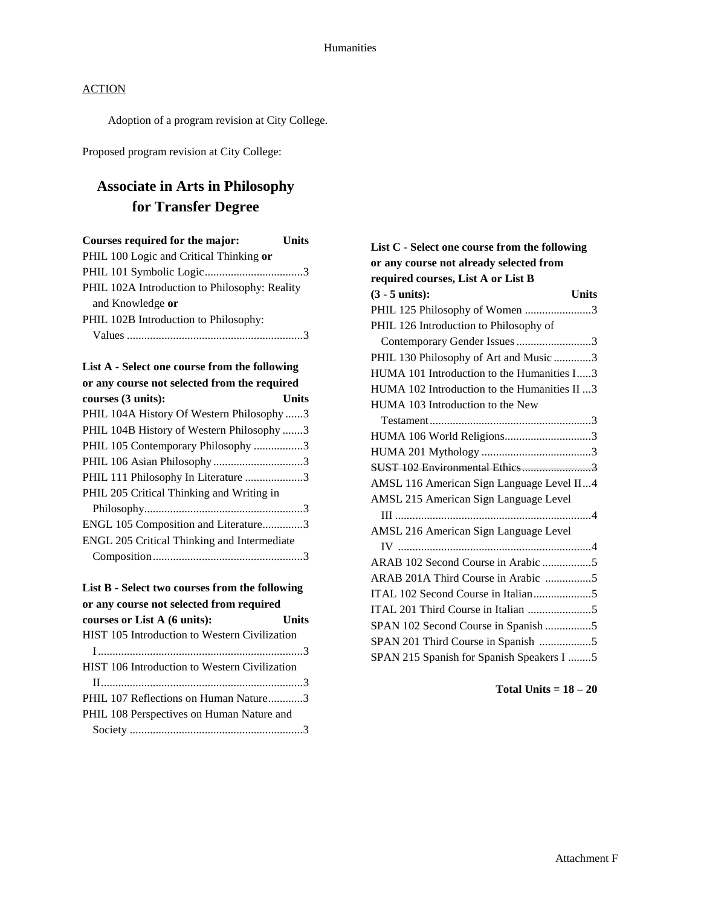Adoption of a program revision at City College.

Proposed program revision at City College:

### **Associate in Arts in Philosophy for Transfer Degree**

| Courses required for the major:               | Units |
|-----------------------------------------------|-------|
| PHIL 100 Logic and Critical Thinking or       |       |
|                                               |       |
| PHIL 102A Introduction to Philosophy: Reality |       |
| and Knowledge or                              |       |
| PHIL 102B Introduction to Philosophy:         |       |
|                                               |       |

|  |  | List A - Select one course from the following |
|--|--|-----------------------------------------------|
|  |  | or any course not selected from the required  |

| or any course not selected from the required |       |
|----------------------------------------------|-------|
| courses (3 units):                           | Units |
| PHIL 104A History Of Western Philosophy 3    |       |
| PHIL 104B History of Western Philosophy 3    |       |
| PHIL 105 Contemporary Philosophy 3           |       |
|                                              |       |
| PHIL 111 Philosophy In Literature 3          |       |
| PHIL 205 Critical Thinking and Writing in    |       |
|                                              |       |
| ENGL 105 Composition and Literature3         |       |
| ENGL 205 Critical Thinking and Intermediate  |       |
|                                              |       |
|                                              |       |

#### **List B - Select two courses from the following or any course not selected from required**

| courses or List A (6 units):                  | <b>Units</b> |
|-----------------------------------------------|--------------|
| HIST 105 Introduction to Western Civilization |              |
|                                               |              |
| HIST 106 Introduction to Western Civilization |              |
|                                               |              |
| PHIL 107 Reflections on Human Nature3         |              |
| PHIL 108 Perspectives on Human Nature and     |              |
|                                               |              |

| List C - Select one course from the following |
|-----------------------------------------------|
| or any course not already selected from       |
| required courses, List A or List B            |
| <b>Units</b><br>$(3 - 5 \text{ units})$ :     |
| PHIL 125 Philosophy of Women 3                |
| PHIL 126 Introduction to Philosophy of        |
| Contemporary Gender Issues 3                  |
| PHIL 130 Philosophy of Art and Music 3        |
| HUMA 101 Introduction to the Humanities I3    |
| HUMA 102 Introduction to the Humanities II 3  |
| HUMA 103 Introduction to the New              |
|                                               |
| HUMA 106 World Religions3                     |
|                                               |
| SUST 102 Environmental Ethics3                |
| AMSL 116 American Sign Language Level II4     |
| AMSL 215 American Sign Language Level         |
|                                               |
| AMSL 216 American Sign Language Level         |
|                                               |
|                                               |
| ARAB 201A Third Course in Arabic 5            |
|                                               |
|                                               |
| SPAN 102 Second Course in Spanish 5           |
| SPAN 201 Third Course in Spanish 5            |
| SPAN 215 Spanish for Spanish Speakers I 5     |

**Total Units = 18 – 20**